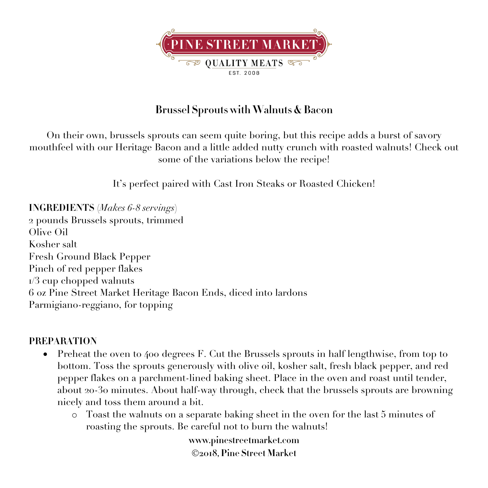

## **Brussel Sprouts with Walnuts & Bacon**

On their own, brussels sprouts can seem quite boring, but this recipe adds a burst of savory mouthfeel with our Heritage Bacon and a little added nutty crunch with roasted walnuts! Check out some of the variations below the recipe!

It's perfect paired with Cast Iron Steaks or Roasted Chicken!

**INGREDIENTS** (*Makes 6-8 servings*) 2 pounds Brussels sprouts, trimmed Olive Oil Kosher salt Fresh Ground Black Pepper Pinch of red pepper flakes  $1/3$  cup chopped walnuts 6 oz Pine Street Market Heritage Bacon Ends, diced into lardons Parmigiano-reggiano, for topping

## **PREPARATION**

- Preheat the oven to 400 degrees F. Cut the Brussels sprouts in half lengthwise, from top to bottom. Toss the sprouts generously with olive oil, kosher salt, fresh black pepper, and red pepper flakes on a parchment-lined baking sheet. Place in the oven and roast until tender, about 20-30 minutes. About half-way through, check that the brussels sprouts are browning nicely and toss them around a bit.
	- o Toast the walnuts on a separate baking sheet in the oven for the last 5 minutes of roasting the sprouts. Be careful not to burn the walnuts!

**www.pinestreetmarket.com** Ó**2018, Pine Street Market**